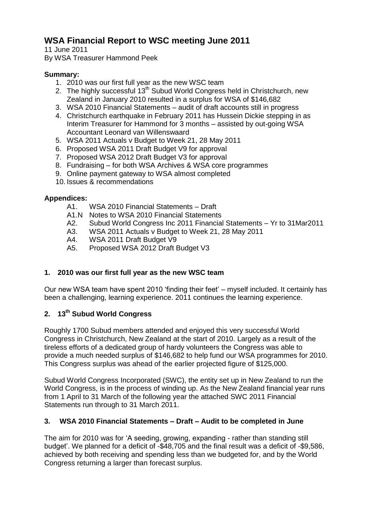# **WSA Financial Report to WSC meeting June 2011**

11 June 2011 By WSA Treasurer Hammond Peek

#### **Summary:**

- 1. 2010 was our first full year as the new WSC team
- 2. The highly successful 13<sup>th</sup> Subud World Congress held in Christchurch, new Zealand in January 2010 resulted in a surplus for WSA of \$146,682
- 3. WSA 2010 Financial Statements audit of draft accounts still in progress
- 4. Christchurch earthquake in February 2011 has Hussein Dickie stepping in as Interim Treasurer for Hammond for 3 months – assisted by out-going WSA Accountant Leonard van Willenswaard
- 5. WSA 2011 Actuals v Budget to Week 21, 28 May 2011
- 6. Proposed WSA 2011 Draft Budget V9 for approval
- 7. Proposed WSA 2012 Draft Budget V3 for approval
- 8. Fundraising for both WSA Archives & WSA core programmes
- 9. Online payment gateway to WSA almost completed
- 10. Issues & recommendations

#### **Appendices:**

- A1. WSA 2010 Financial Statements Draft
- A1.N Notes to WSA 2010 Financial Statements
- A2. Subud World Congress Inc 2011 Financial Statements Yr to 31Mar2011
- A3. WSA 2011 Actuals v Budget to Week 21, 28 May 2011
- A4. WSA 2011 Draft Budget V9
- A5. Proposed WSA 2012 Draft Budget V3

## **1. 2010 was our first full year as the new WSC team**

Our new WSA team have spent 2010 "finding their feet" – myself included. It certainly has been a challenging, learning experience. 2011 continues the learning experience.

## **2. 13th Subud World Congress**

Roughly 1700 Subud members attended and enjoyed this very successful World Congress in Christchurch, New Zealand at the start of 2010. Largely as a result of the tireless efforts of a dedicated group of hardy volunteers the Congress was able to provide a much needed surplus of \$146,682 to help fund our WSA programmes for 2010. This Congress surplus was ahead of the earlier projected figure of \$125,000.

Subud World Congress Incorporated (SWC), the entity set up in New Zealand to run the World Congress, is in the process of winding up. As the New Zealand financial year runs from 1 April to 31 March of the following year the attached SWC 2011 Financial Statements run through to 31 March 2011.

#### **3. WSA 2010 Financial Statements – Draft – Audit to be completed in June**

The aim for 2010 was for "A seeding, growing, expanding - rather than standing still budget". We planned for a deficit of -\$48,705 and the final result was a deficit of -\$9,586, achieved by both receiving and spending less than we budgeted for, and by the World Congress returning a larger than forecast surplus.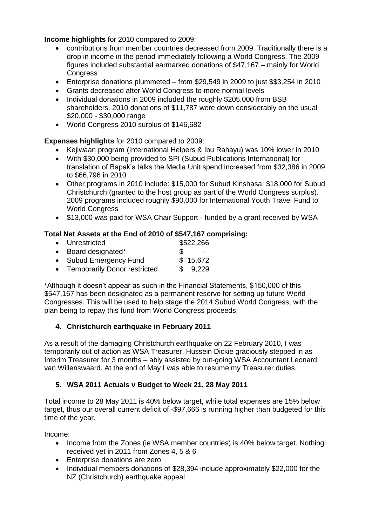**Income highlights** for 2010 compared to 2009:

- contributions from member countries decreased from 2009. Traditionally there is a drop in income in the period immediately following a World Congress. The 2009 figures included substantial earmarked donations of \$47,167 – mainly for World **Congress**
- Enterprise donations plummeted from \$29,549 in 2009 to just \$\$3,254 in 2010
- Grants decreased after World Congress to more normal levels
- Individual donations in 2009 included the roughly \$205,000 from BSB shareholders. 2010 donations of \$11,787 were down considerably on the usual \$20,000 - \$30,000 range
- World Congress 2010 surplus of \$146,682

#### **Expenses highlights** for 2010 compared to 2009:

- Kejiwaan program (International Helpers & Ibu Rahayu) was 10% lower in 2010
- With \$30,000 being provided to SPI (Subud Publications International) for translation of Bapak"s talks the Media Unit spend increased from \$32,386 in 2009 to \$66,796 in 2010
- Other programs in 2010 include: \$15,000 for Subud Kinshasa; \$18,000 for Subud Christchurch (granted to the host group as part of the World Congress surplus). 2009 programs included roughly \$90,000 for International Youth Travel Fund to World Congress
- \$13,000 was paid for WSA Chair Support funded by a grant received by WSA

#### **Total Net Assets at the End of 2010 of \$547,167 comprising:**

| • Unrestricted                 |     | \$522,266                |  |
|--------------------------------|-----|--------------------------|--|
| • Board designated*            | SS. | $\overline{\phantom{a}}$ |  |
| • Subud Emergency Fund         |     | \$15,672                 |  |
| • Temporarily Donor restricted |     | \$9,229                  |  |
|                                |     |                          |  |

\*Although it doesn"t appear as such in the Financial Statements, \$150,000 of this \$547,167 has been designated as a permanent reserve for setting up future World Congresses. This will be used to help stage the 2014 Subud World Congress, with the plan being to repay this fund from World Congress proceeds.

## **4. Christchurch earthquake in February 2011**

As a result of the damaging Christchurch earthquake on 22 February 2010, I was temporarily out of action as WSA Treasurer. Hussein Dickie graciously stepped in as Interim Treasurer for 3 months – ably assisted by out-going WSA Accountant Leonard van Willenswaard. At the end of May I was able to resume my Treasurer duties.

#### **5. WSA 2011 Actuals v Budget to Week 21, 28 May 2011**

Total income to 28 May 2011 is 40% below target, while total expenses are 15% below target, thus our overall current deficit of -\$97,666 is running higher than budgeted for this time of the year.

Income:

- Income from the Zones (ie WSA member countries) is 40% below target. Nothing received yet in 2011 from Zones 4, 5 & 6
- Enterprise donations are zero
- Individual members donations of \$28,394 include approximately \$22,000 for the NZ (Christchurch) earthquake appeal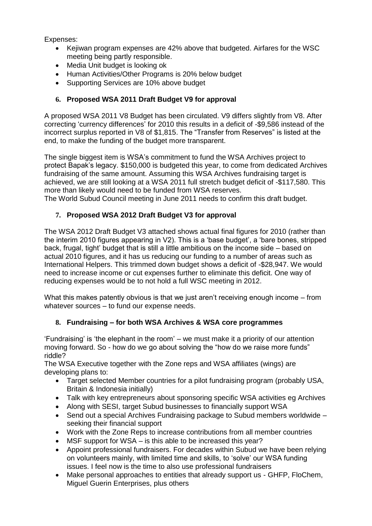Expenses:

- Kejiwan program expenses are 42% above that budgeted. Airfares for the WSC meeting being partly responsible.
- Media Unit budget is looking ok
- Human Activities/Other Programs is 20% below budget
- Supporting Services are 10% above budget

## **6. Proposed WSA 2011 Draft Budget V9 for approval**

A proposed WSA 2011 V8 Budget has been circulated. V9 differs slightly from V8. After correcting "currency differences" for 2010 this results in a deficit of -\$9,586 instead of the incorrect surplus reported in V8 of \$1,815. The "Transfer from Reserves" is listed at the end, to make the funding of the budget more transparent.

The single biggest item is WSA"s commitment to fund the WSA Archives project to protect Bapak"s legacy. \$150,000 is budgeted this year, to come from dedicated Archives fundraising of the same amount. Assuming this WSA Archives fundraising target is achieved, we are still looking at a WSA 2011 full stretch budget deficit of -\$117,580. This more than likely would need to be funded from WSA reserves.

The World Subud Council meeting in June 2011 needs to confirm this draft budget.

## **7. Proposed WSA 2012 Draft Budget V3 for approval**

The WSA 2012 Draft Budget V3 attached shows actual final figures for 2010 (rather than the interim 2010 figures appearing in V2). This is a "base budget", a "bare bones, stripped back, frugal, tight" budget that is still a little ambitious on the income side – based on actual 2010 figures, and it has us reducing our funding to a number of areas such as International Helpers. This trimmed down budget shows a deficit of -\$28,947. We would need to increase income or cut expenses further to eliminate this deficit. One way of reducing expenses would be to not hold a full WSC meeting in 2012.

What this makes patently obvious is that we just aren"t receiving enough income – from whatever sources – to fund our expense needs.

## **8. Fundraising – for both WSA Archives & WSA core programmes**

"Fundraising" is "the elephant in the room" – we must make it a priority of our attention moving forward. So - how do we go about solving the "how do we raise more funds" riddle?

The WSA Executive together with the Zone reps and WSA affiliates (wings) are developing plans to:

- Target selected Member countries for a pilot fundraising program (probably USA, Britain & Indonesia initially)
- Talk with key entrepreneurs about sponsoring specific WSA activities eg Archives
- Along with SESI, target Subud businesses to financially support WSA
- Send out a special Archives Fundraising package to Subud members worldwide seeking their financial support
- Work with the Zone Reps to increase contributions from all member countries
- MSF support for WSA is this able to be increased this year?
- Appoint professional fundraisers. For decades within Subud we have been relying on volunteers mainly, with limited time and skills, to "solve" our WSA funding issues. I feel now is the time to also use professional fundraisers
- Make personal approaches to entities that already support us GHFP, FloChem, Miguel Guerin Enterprises, plus others